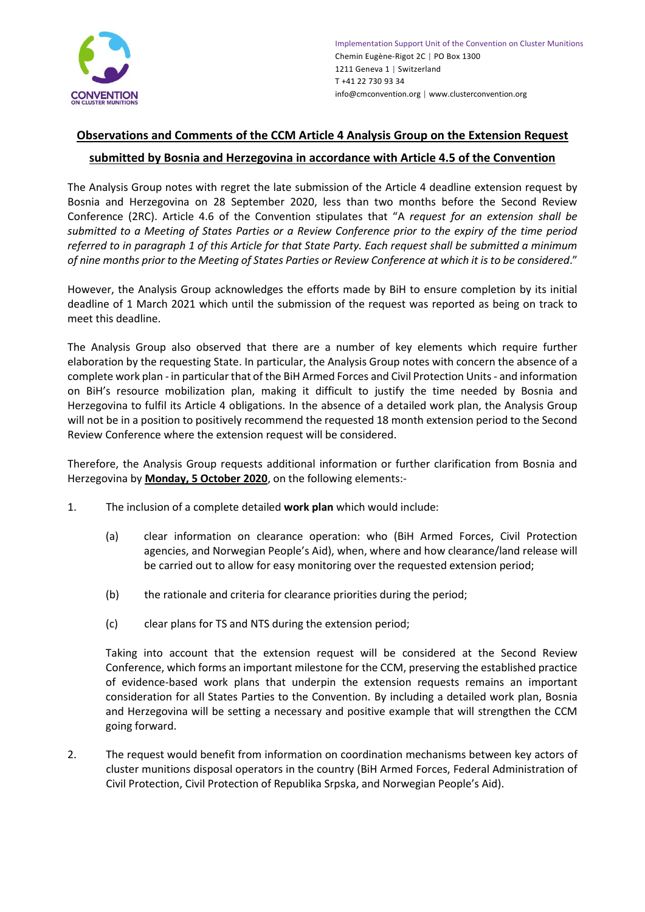

## **Observations and Comments of the CCM Article 4 Analysis Group on the Extension Request submitted by Bosnia and Herzegovina in accordance with Article 4.5 of the Convention**

The Analysis Group notes with regret the late submission of the Article 4 deadline extension request by Bosnia and Herzegovina on 28 September 2020, less than two months before the Second Review Conference (2RC). Article 4.6 of the Convention stipulates that "A *request for an extension shall be submitted to a Meeting of States Parties or a Review Conference prior to the expiry of the time period referred to in paragraph 1 of this Article for that State Party. Each request shall be submitted a minimum of nine months prior to the Meeting of States Parties or Review Conference at which it is to be considered*."

However, the Analysis Group acknowledges the efforts made by BiH to ensure completion by its initial deadline of 1 March 2021 which until the submission of the request was reported as being on track to meet this deadline.

The Analysis Group also observed that there are a number of key elements which require further elaboration by the requesting State. In particular, the Analysis Group notes with concern the absence of a complete work plan - in particular that of the BiH Armed Forces and Civil Protection Units- and information on BiH's resource mobilization plan, making it difficult to justify the time needed by Bosnia and Herzegovina to fulfil its Article 4 obligations. In the absence of a detailed work plan, the Analysis Group will not be in a position to positively recommend the requested 18 month extension period to the Second Review Conference where the extension request will be considered.

Therefore, the Analysis Group requests additional information or further clarification from Bosnia and Herzegovina by **Monday, 5 October 2020**, on the following elements:-

- 1. The inclusion of a complete detailed **work plan** which would include:
	- (a) clear information on clearance operation: who (BiH Armed Forces, Civil Protection agencies, and Norwegian People's Aid), when, where and how clearance/land release will be carried out to allow for easy monitoring over the requested extension period;
	- (b) the rationale and criteria for clearance priorities during the period;
	- (c) clear plans for TS and NTS during the extension period;

Taking into account that the extension request will be considered at the Second Review Conference, which forms an important milestone for the CCM, preserving the established practice of evidence-based work plans that underpin the extension requests remains an important consideration for all States Parties to the Convention. By including a detailed work plan, Bosnia and Herzegovina will be setting a necessary and positive example that will strengthen the CCM going forward.

2. The request would benefit from information on coordination mechanisms between key actors of cluster munitions disposal operators in the country (BiH Armed Forces, Federal Administration of Civil Protection, Civil Protection of Republika Srpska, and Norwegian People's Aid).